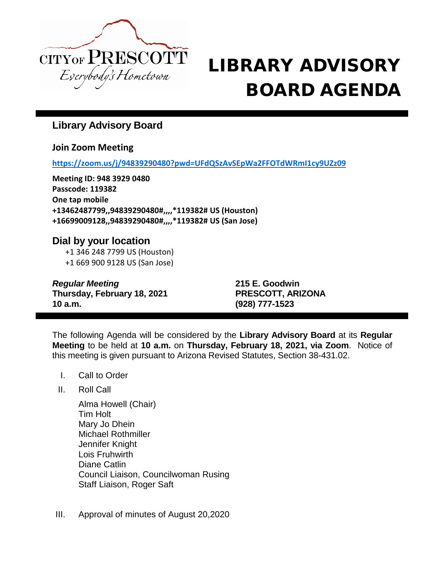

## $\text{CITY}$  **CITY OF PRESCOTT LIBRARY ADVISORY** BOARD AGENDA

## **Library Advisory Board**

**Join Zoom Meeting**

**<https://zoom.us/j/94839290480?pwd=UFdQSzAvSEpWa2FFOTdWRmI1cy9UZz09>**

**Meeting ID: 948 3929 0480 Passcode: 119382 One tap mobile +13462487799,,94839290480#,,,,\*119382# US (Houston) +16699009128,,94839290480#,,,,\*119382# US (San Jose)**

## **Dial by your location**

+1 346 248 7799 US (Houston) +1 669 900 9128 US (San Jose)

*Regular Meeting* **215 E. Goodwin Thursday, February 18, 2021 PRESCOTT, ARIZONA 10 a.m. (928) 777-1523**

The following Agenda will be considered by the **Library Advisory Board** at its **Regular Meeting** to be held at **10 a.m.** on **Thursday, February 18, 2021, via Zoom**. Notice of this meeting is given pursuant to Arizona Revised Statutes, Section 38-431.02.

- I. Call to Order
- II. Roll Call

Alma Howell (Chair) Tim Holt Mary Jo Dhein Michael Rothmiller Jennifer Knight Lois Fruhwirth Diane Catlin Council Liaison, Councilwoman Rusing Staff Liaison, Roger Saft

III. Approval of minutes of August 20,2020